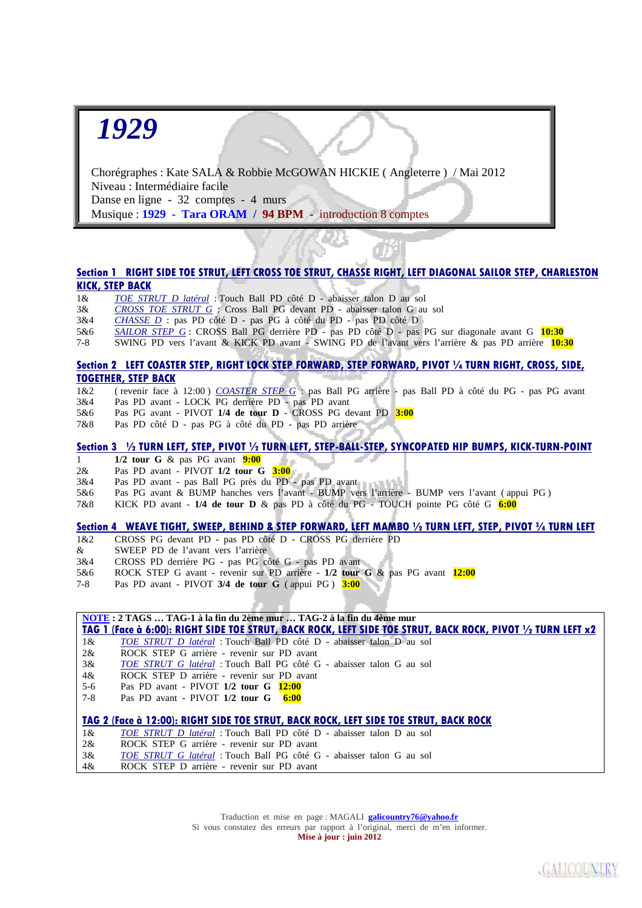## *1929*

 Chorégraphes : Kate SALA & Robbie McGOWAN HICKIE ( Angleterre ) / Mai 2012 Niveau : Intermédiaire facile Danse en ligne - 32 comptes - 4 murs Musique : **1929 - Tara ORAM / 94 BPM -** introduction 8 comptes

## **Section 1 RIGHT SIDE TOE STRUT, LEFT CROSS TOE STRUT, CHASSE RIGHT, LEFT DIAGONAL SAILOR STEP, CHARLESTON KICK, STEP BACK**

- 1& *TOE STRUT D latéral* : Touch Ball PD côté D abaisser talon D au sol
- 3& *CROSS TOE STRUT G* : Cross Ball PG devant PD abaisser talon G au sol
- 3&4 *CHASSE D* : pas PD côté D pas PG à côté du PD pas PD côté D
- 5&6 *SAILOR STEP G* : CROSS Ball PG derrière PD pas PD côté D pas PG sur diagonale avant G **10:30**
- 7-8 SWING PD vers l'avant & KICK PD avant SWING PD de l'avant vers l'arrière & pas PD arrière **10:30**

### **Section 2 LEFT COASTER STEP, RIGHT LOCK STEP FORWARD, STEP FORWARD, PIVOT ¼ TURN RIGHT, CROSS, SIDE, TOGETHER, STEP BACK**

- 1&2 ( revenir face à 12:00 ) *COASTER STEP G* : pas Ball PG arrière pas Ball PD à côté du PG pas PG avant
- 3&4 Pas PD avant LOCK PG derrière PD pas PD avant
- 5&6 Pas PG avant PIVOT **1/4 de tour D** CROSS PG devant PD **3:00**
- 7&8 Pas PD côté D pas PG à côté du PD pas PD arrière

## **Section 3 ½ TURN LEFT, STEP, PIVOT ½ TURN LEFT, STEP-BALL-STEP, SYNCOPATED HIP BUMPS, KICK-TURN-POINT**

- 1 **1/2 tour G** & pas PG avant **9:00**
- 2& Pas PD avant PIVOT **1/2 tour G 3:00**
- 3&4 Pas PD avant pas Ball PG près du PD pas PD avant
- 5&6 Pas PG avant & BUMP hanches vers l'avant BUMP vers l'arrière BUMP vers l'avant ( appui PG )
- 7&8 KICK PD avant **1/4 de tour D** & pas PD à côté du PG TOUCH pointe PG côté G **6:00**

#### **Section 4 WEAVE TIGHT, SWEEP, BEHIND & STEP FORWARD, LEFT MAMBO ½ TURN LEFT, STEP, PIVOT ¾ TURN LEFT**

- 1&2 CROSS PG devant PD pas PD côté D CROSS PG derrière PD
- & SWEEP PD de l'avant vers l'arrière
- 3&4 CROSS PD derrière PG pas PG côté G pas PD avant
- 5&6 ROCK STEP G avant revenir sur PD arrière **1/2 tour G** & pas PG avant **12:00**
- 7-8 Pas PD avant PIVOT **3/4 de tour G** ( appui PG ) **3:00**

| <b>NOTE: 2 TAGS  TAG-1 à la fin du 2ème mur  TAG-2 à la fin du 4ème mur</b>           |                                                                                                            |
|---------------------------------------------------------------------------------------|------------------------------------------------------------------------------------------------------------|
|                                                                                       | TAG 1 (Face à 6:00): RIGHT SIDE TOE STRUT, BACK ROCK, LEFT SIDE TOE STRUT, BACK ROCK, PIVOT ½ TURN LEFT x2 |
| $1\&$                                                                                 | TOE STRUT D latéral : Touch Ball PD côté D - abaisser talon D au sol                                       |
| $2\&$                                                                                 | ROCK STEP G arrière - revenir sur PD avant                                                                 |
| 3&                                                                                    | TOE STRUT G latéral : Touch Ball PG côté G - abaisser talon G au sol                                       |
| 4&                                                                                    | ROCK STEP D arrière - revenir sur PD avant                                                                 |
| $5-6$                                                                                 | Pas PD avant - PIVOT $1/2$ tour G $12:00$                                                                  |
| $7-8$                                                                                 | Pas PD avant - PIVOT $1/2$ tour G 6:00                                                                     |
|                                                                                       |                                                                                                            |
| TAG 2 (Face à 12:00): RIGHT SIDE TOE STRUT, BACK ROCK, LEFT SIDE TOE STRUT, BACK ROCK |                                                                                                            |
|                                                                                       |                                                                                                            |
| $1\&$                                                                                 | <i>TOE STRUT D latéral</i> : Touch Ball PD côté D - abaisser talon D au sol                                |
| $2\alpha$                                                                             | ROCK STEP G arrière - revenir sur PD avant                                                                 |
| 3&                                                                                    | TOE STRUT G latéral : Touch Ball PG côté G - abaisser talon G au sol                                       |
|                                                                                       |                                                                                                            |

Traduction et mise en page : MAGALI **galicountry76@yahoo.fr** Si vous constatez des erreurs par rapport à l'original, merci de m'en informer. **Mise à jour : juin 2012**